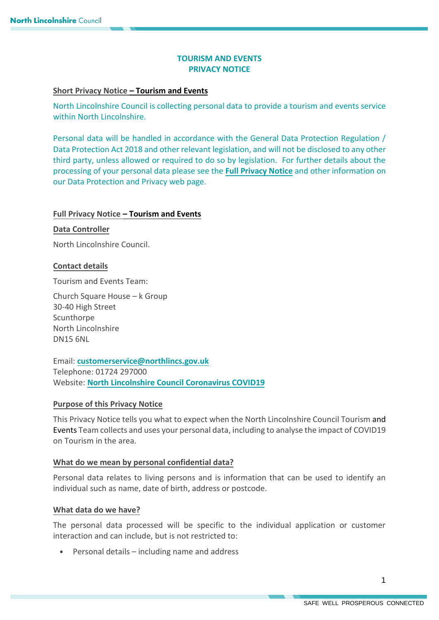# **TOURISM AND EVENTS PRIVACY NOTICE**

### **Short Privacy Notice – Tourism and Events**

North Lincolnshire Council is collecting personal data to provide a tourism and events service within North Lincolnshire.

 Personal data will be handled in accordance with the General Data Protection Regulation / Data Protection Act 2018 and other relevant legislation, and will not be disclosed to any other third party, unless allowed or required to do so by legislation. For further details about the processing of your personal data please see the **[Full Privacy Notice](https://www.northlincs.gov.uk/your-council/about-your-council/information-and-performance/information-governance/data-protection-and-privacy/)** and other information on our Data Protection and Privacy web page.

## **Full Privacy Notice – Tourism and Events**

### **Data Controller**

North Lincolnshire Council.

## **Contact details**

Tourism and Events Team:

Church Square House – k Group 30-40 High Street Scunthorpe North Lincolnshire DN15 6NL

 Website: **[North Lincolnshire Council C](https://www.northlincs.gov.uk/people-health-and-care/coronavirus-covid-19/)oronavirus COVID19**  Email: **[customerservice@northlincs.gov.uk](mailto:customerservice@northlincs.gov.uk)**  Telephone: 01724 297000

# **Purpose of this Privacy Notice**

 This Privacy Notice tells you what to expect when the North Lincolnshire Council Tourism and Events Team collects and uses your personal data, including to analyse the impact of COVID19 on Tourism in the area.

# **What do we mean by personal confidential data?**

 Personal data relates to living persons and is information that can be used to identify an individual such as name, date of birth, address or postcode.

## **What data do we have?**

 The personal data processed will be specific to the individual application or customer interaction and can include, but is not restricted to:

Personal details – including name and address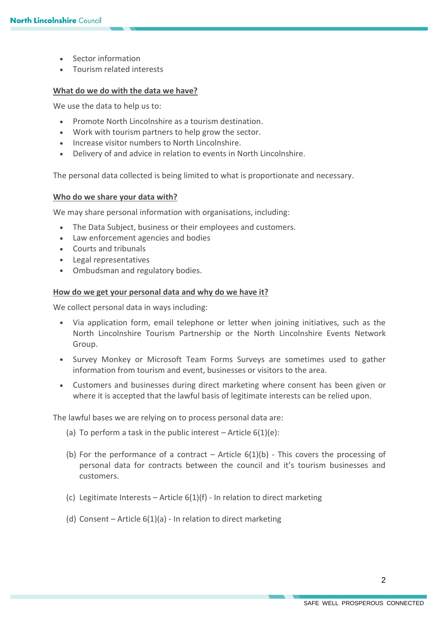- Sector information
- Tourism related interests

#### **What do we do with the data we have?**

We use the data to help us to:

- Promote North Lincolnshire as a tourism destination.
- Work with tourism partners to help grow the sector.
- Increase visitor numbers to North Lincolnshire.
- Delivery of and advice in relation to events in North Lincolnshire.

The personal data collected is being limited to what is proportionate and necessary.

#### **Who do we share your data with?**

We may share personal information with organisations, including:

- The Data Subject, business or their employees and customers.
- Law enforcement agencies and bodies
- Courts and tribunals
- Legal representatives
- Ombudsman and regulatory bodies.

#### **How do we get your personal data and why do we have it?**

We collect personal data in ways including:

- Via application form, email telephone or letter when joining initiatives, such as the North Lincolnshire Tourism Partnership or the North Lincolnshire Events Network Group.
- Survey Monkey or Microsoft Team Forms Surveys are sometimes used to gather information from tourism and event, businesses or visitors to the area.
- Customers and businesses during direct marketing where consent has been given or where it is accepted that the lawful basis of legitimate interests can be relied upon.

The lawful bases we are relying on to process personal data are:

- (a) To perform a task in the public interest  $-$  Article  $6(1)(e)$ :
- (b) For the performance of a contract Article  $6(1)(b)$  This covers the processing of personal data for contracts between the council and it's tourism businesses and customers.
- (c) Legitimate Interests Article  $6(1)(f)$  In relation to direct marketing
- (d) Consent Article 6(1)(a) In relation to direct marketing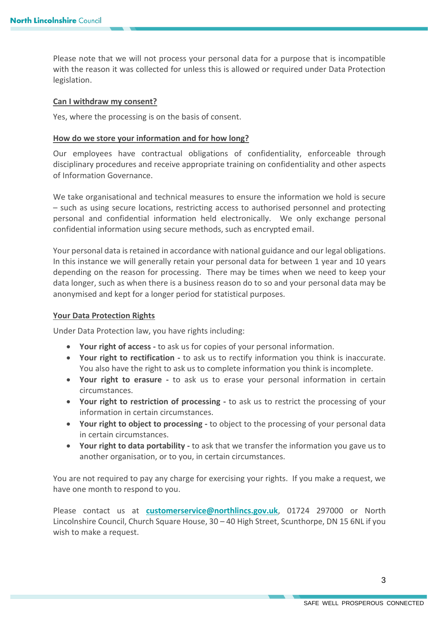Please note that we will not process your personal data for a purpose that is incompatible with the reason it was collected for unless this is allowed or required under Data Protection legislation.

#### **Can I withdraw my consent?**

Yes, where the processing is on the basis of consent.

#### **How do we store your information and for how long?**

 disciplinary procedures and receive appropriate training on confidentiality and other aspects of Information Governance. Our employees have contractual obligations of confidentiality, enforceable through

 We take organisational and technical measures to ensure the information we hold is secure – such as using secure locations, restricting access to authorised personnel and protecting personal and confidential information held electronically. We only exchange personal confidential information using secure methods, such as encrypted email.

 Your personal data is retained in accordance with national guidance and our legal obligations. In this instance we will generally retain your personal data for between 1 year and 10 years depending on the reason for processing. There may be times when we need to keep your data longer, such as when there is a business reason do to so and your personal data may be anonymised and kept for a longer period for statistical purposes.

#### **Your Data Protection Rights**

Under Data Protection law, you have rights including:

- **Your right of access -** to ask us for copies of your personal information.
- **Your right to rectification -** to ask us to rectify information you think is inaccurate. You also have the right to ask us to complete information you think is incomplete.
- **Your right to erasure -** to ask us to erase your personal information in certain circumstances.
- **Your right to restriction of processing -** to ask us to restrict the processing of your information in certain circumstances.
- **Your right to object to processing -** to object to the processing of your personal data in certain circumstances.
- **Your right to data portability -** to ask that we transfer the information you gave us to another organisation, or to you, in certain circumstances.

 You are not required to pay any charge for exercising your rights. If you make a request, we have one month to respond to you.

 Please contact us at **[customerservice@northlincs.gov.uk](mailto:customerservice@northlincs.gov.uk)**, 01724 297000 or North Lincolnshire Council, Church Square House, 30 – 40 High Street, Scunthorpe, DN 15 6NL if you wish to make a request.